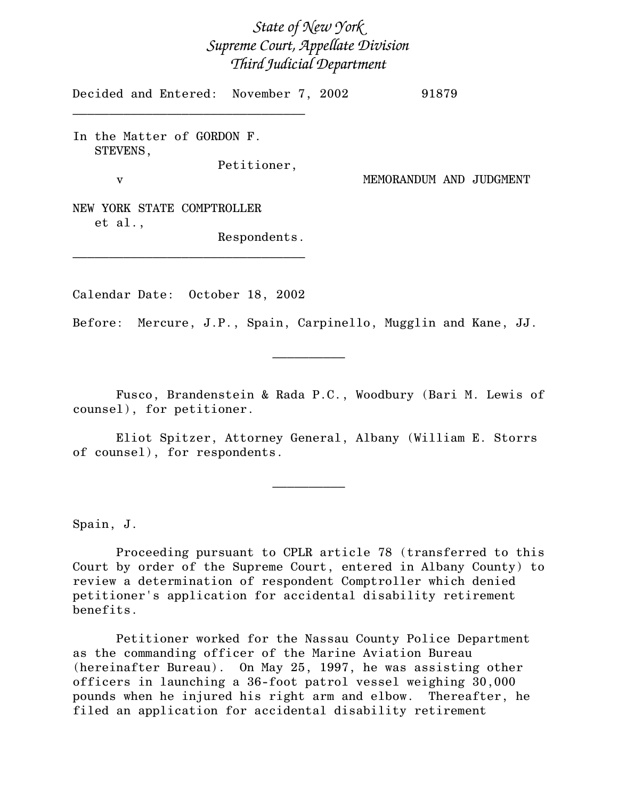## State of New York Supreme Court, Appellate Division Third Judicial Department

Decided and Entered: November 7, 2002 91879

In the Matter of GORDON F. STEVENS,

 $\mathcal{L}=\{1,2,3,4,5\}$ 

Petitioner,

v MEMORANDUM AND JUDGMENT

NEW YORK STATE COMPTROLLER et al.,

Respondents.

Calendar Date: October 18, 2002

 $\mathcal{L}=\{1,2,3,4,5\}$ 

Before: Mercure, J.P., Spain, Carpinello, Mugglin and Kane, JJ.

 $\frac{1}{2}$ 

Fusco, Brandenstein & Rada P.C., Woodbury (Bari M. Lewis of counsel), for petitioner.

Eliot Spitzer, Attorney General, Albany (William E. Storrs of counsel), for respondents.

 $\mathcal{L}_\text{max}$ 

Spain, J.

Proceeding pursuant to CPLR article 78 (transferred to this Court by order of the Supreme Court, entered in Albany County) to review a determination of respondent Comptroller which denied petitioner's application for accidental disability retirement benefits.

Petitioner worked for the Nassau County Police Department as the commanding officer of the Marine Aviation Bureau (hereinafter Bureau). On May 25, 1997, he was assisting other officers in launching a 36-foot patrol vessel weighing 30,000 pounds when he injured his right arm and elbow. Thereafter, he filed an application for accidental disability retirement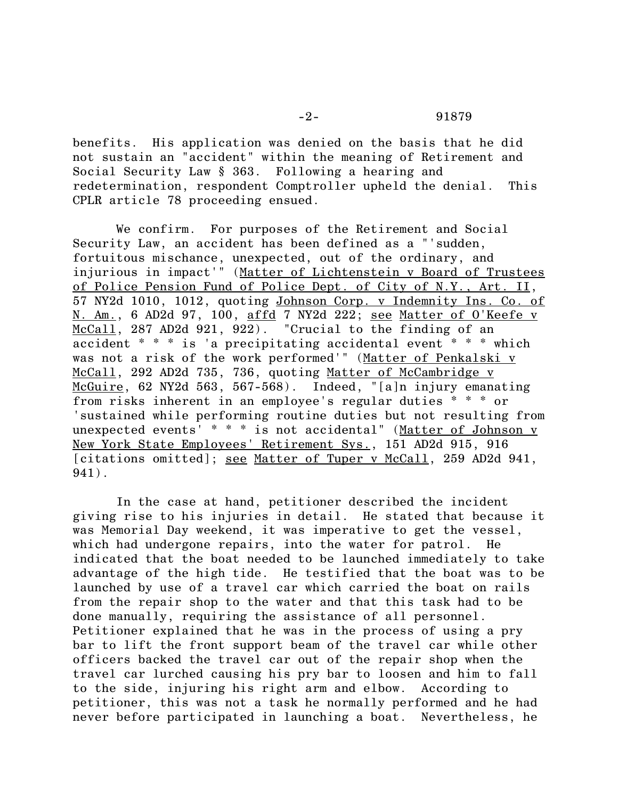benefits. His application was denied on the basis that he did not sustain an "accident" within the meaning of Retirement and Social Security Law § 363. Following a hearing and redetermination, respondent Comptroller upheld the denial. This CPLR article 78 proceeding ensued.

We confirm. For purposes of the Retirement and Social Security Law, an accident has been defined as a "'sudden, fortuitous mischance, unexpected, out of the ordinary, and injurious in impact'" (Matter of Lichtenstein v Board of Trustees of Police Pension Fund of Police Dept. of City of N.Y., Art. II, 57 NY2d 1010, 1012, quoting Johnson Corp. v Indemnity Ins. Co. of N. Am., 6 AD2d 97, 100, affd 7 NY2d 222; see Matter of O'Keefe v McCall, 287 AD2d 921, 922). "Crucial to the finding of an accident \* \* \* is 'a precipitating accidental event \* \* \* which was not a risk of the work performed'" (Matter of Penkalski v McCall, 292 AD2d 735, 736, quoting Matter of McCambridge v McGuire, 62 NY2d 563, 567-568). Indeed, "[a]n injury emanating from risks inherent in an employee's regular duties \* \* \* or 'sustained while performing routine duties but not resulting from unexpected events' \* \* \* is not accidental" (Matter of Johnson v New York State Employees' Retirement Sys., 151 AD2d 915, 916 [citations omitted]; <u>see Matter of Tuper v McCall</u>, 259 AD2d 941, 941).

In the case at hand, petitioner described the incident giving rise to his injuries in detail. He stated that because it was Memorial Day weekend, it was imperative to get the vessel, which had undergone repairs, into the water for patrol. He indicated that the boat needed to be launched immediately to take advantage of the high tide. He testified that the boat was to be launched by use of a travel car which carried the boat on rails from the repair shop to the water and that this task had to be done manually, requiring the assistance of all personnel. Petitioner explained that he was in the process of using a pry bar to lift the front support beam of the travel car while other officers backed the travel car out of the repair shop when the travel car lurched causing his pry bar to loosen and him to fall to the side, injuring his right arm and elbow. According to petitioner, this was not a task he normally performed and he had never before participated in launching a boat. Nevertheless, he